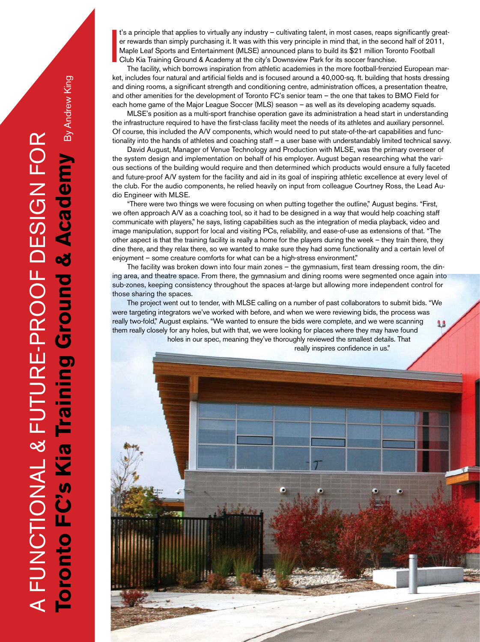I t's a principle that applies to virtually any industry – cultivating talent, in most cases, reaps significantly greater rewards than simply purchasing it. It was with this very principle in mind that, in the second half of 2011, Maple Leaf Sports and Entertainment (MLSE) announced plans to build its \$21 million Toronto Football Club Kia Training Ground & Academy at the city's Downsview Park for its soccer franchise.

The facility, which borrows inspiration from athletic academies in the more football-frenzied European market, includes four natural and artificial fields and is focused around a 40,000-sq. ft. building that hosts dressing and dining rooms, a significant strength and conditioning centre, administration offices, a presentation theatre, and other amenities for the development of Toronto FC's senior team – the one that takes to BMO Field for each home game of the Major League Soccer (MLS) season – as well as its developing academy squads.

MLSE's position as a multi-sport franchise operation gave its administration a head start in understanding the infrastructure required to have the first-class facility meet the needs of its athletes and auxiliary personnel. Of course, this included the A/V components, which would need to put state-of-the-art capabilities and functionality into the hands of athletes and coaching staff – a user base with understandably limited technical savvy.

David August, Manager of Venue Technology and Production with MLSE, was the primary overseer of the system design and implementation on behalf of his employer. August began researching what the various sections of the building would require and then determined which products would ensure a fully faceted and future-proof A/V system for the facility and aid in its goal of inspiring athletic excellence at every level of the club. For the audio components, he relied heavily on input from colleague Courtney Ross, the Lead Audio Engineer with MLSE.

"There were two things we were focusing on when putting together the outline," August begins. "First, we often approach A/V as a coaching tool, so it had to be designed in a way that would help coaching staff communicate with players," he says, listing capabilities such as the integration of media playback, video and image manipulation, support for local and visiting PCs, reliability, and ease-of-use as extensions of that. "The other aspect is that the training facility is really a home for the players during the week – they train there, they dine there, and they relax there, so we wanted to make sure they had some functionality and a certain level of enjoyment – some creature comforts for what can be a high-stress environment."

The facility was broken down into four main zones – the gymnasium, first team dressing room, the dining area, and theatre space. From there, the gymnasium and dining rooms were segmented once again into sub-zones, keeping consistency throughout the spaces at-large but allowing more independent control for those sharing the spaces.

The project went out to tender, with MLSE calling on a number of past collaborators to submit bids. "We were targeting integrators we've worked with before, and when we were reviewing bids, the process was really two-fold," August explains. "We wanted to ensure the bids were complete, and we were scanning them really closely for any holes, but with that, we were looking for places where they may have found holes in our spec, meaning they've thoroughly reviewed the smallest details. That

really inspires confidence in us."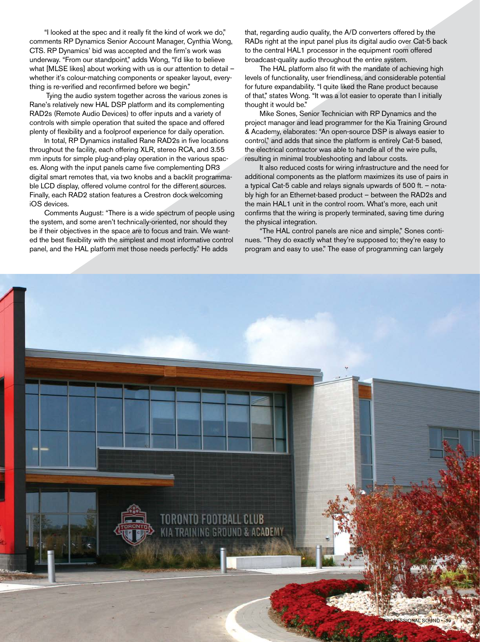"I looked at the spec and it really fit the kind of work we do," comments RP Dynamics Senior Account Manager, Cynthia Wong, CTS. RP Dynamics' bid was accepted and the firm's work was underway. "From our standpoint," adds Wong, "I'd like to believe what [MLSE likes] about working with us is our attention to detail – whether it's colour-matching components or speaker layout, everything is re-verified and reconfirmed before we begin."

 Tying the audio system together across the various zones is Rane's relatively new HAL DSP platform and its complementing RAD2s (Remote Audio Devices) to offer inputs and a variety of controls with simple operation that suited the space and offered plenty of flexibility and a foolproof experience for daily operation.

In total, RP Dynamics installed Rane RAD2s in five locations throughout the facility, each offering XLR, stereo RCA, and 3.55 mm inputs for simple plug-and-play operation in the various spaces. Along with the input panels came five complementing DR3 digital smart remotes that, via two knobs and a backlit programmable LCD display, offered volume control for the different sources. Finally, each RAD2 station features a Crestron dock welcoming iOS devices.

Comments August: "There is a wide spectrum of people using the system, and some aren't technically-oriented, nor should they be if their objectives in the space are to focus and train. We wanted the best flexibility with the simplest and most informative control panel, and the HAL platform met those needs perfectly." He adds

that, regarding audio quality, the A/D converters offered by the RADs right at the input panel plus its digital audio over Cat-5 back to the central HAL1 processor in the equipment room offered broadcast-quality audio throughout the entire system.

The HAL platform also fit with the mandate of achieving high levels of functionality, user friendliness, and considerable potential for future expandability. "I quite liked the Rane product because of that," states Wong. "It was a lot easier to operate than I initially thought it would be."

Mike Sones, Senior Technician with RP Dynamics and the project manager and lead programmer for the Kia Training Ground & Academy, elaborates: "An open-source DSP is always easier to control," and adds that since the platform is entirely Cat-5 based, the electrical contractor was able to handle all of the wire pulls, resulting in minimal troubleshooting and labour costs.

It also reduced costs for wiring infrastructure and the need for additional components as the platform maximizes its use of pairs in a typical Cat-5 cable and relays signals upwards of 500 ft. – notably high for an Ethernet-based product – between the RAD2s and the main HAL1 unit in the control room. What's more, each unit confirms that the wiring is properly terminated, saving time during the physical integration.

"The HAL control panels are nice and simple," Sones continues. "They do exactly what they're supposed to; they're easy to program and easy to use." The ease of programming can largely

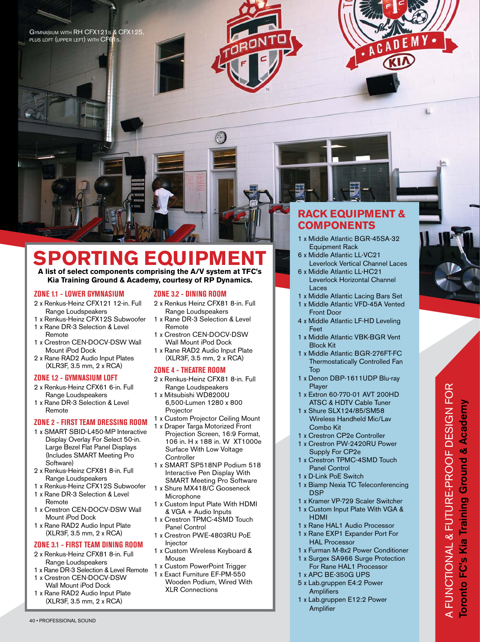





ι

# **SPORTING EQUIPMENT**

#### **A list of select components comprising the A/V system at TFC's Kia Training Ground & Academy, courtesy of RP Dynamics.**

# **ZONE 1.1 - LOWER GYMNASIUM**

- 2 x Renkus-Heinz CFX121 12-in. Full Range Loudspeakers
- 1 x Renkus-Heinz CFX12S Subwoofer 1 x Rane DR-3 Selection & Level
- Remote 1 x Crestron CEN-DOCV-DSW Wall
- Mount iPod Dock
- 2 x Rane RAD2 Audio Input Plates (XLR3F, 3.5 mm, 2 x RCA)

#### **ZONE 1.2 - GYMNASIUM LOFT**

- 2 x Renkus-Heinz CFX61 6-in. Full Range Loudspeakers
- 1 x Rane DR-3 Selection & Level Remote

# **ZONE 2 - FIRST TEAM DRESSING ROOM**

- 1 x SMART SBID-L450-MP Interactive Display Overlay For Select 50-in. Large Bezel Flat Panel Displays (Includes SMART Meeting Pro Software)
- 2 x Renkus-Heinz CFX81 8-in. Full Range Loudspeakers
- 1 x Renkus-Heinz CFX12S Subwoofer
- 1 x Rane DR-3 Selection & Level Remote
- 1 x Crestron CEN-DOCV-DSW Wall Mount iPod Dock
- 1 x Rane RAD2 Audio Input Plate (XLR3F, 3.5 mm, 2 x RCA)

# **ZONE 3.1 - FIRST TEAM DINING ROOM**

- 2 x Renkus-Heinz CFX81 8-in. Full Range Loudspeakers
- 1 x Rane DR-3 Selection & Level Remote 1 x Crestron CEN-DOCV-DSW
- Wall Mount iPod Dock
- 1 x Rane RAD2 Audio Input Plate (XLR3F, 3.5 mm, 2 x RCA)

#### **ZONE 3.2 - DINING ROOM**

- 2 x Renkus Heinz CFX81 8-in. Full Range Loudspeakers
- 1 x Rane DR-3 Selection & Level Remote
- 1 x Crestron CEN-DOCV-DSW Wall Mount iPod Dock
- 1 x Rane RAD2 Audio Input Plate (XLR3F, 3.5 mm, 2 x RCA)

# **ZONE 4 - THEATRE ROOM**

- 2 x Renkus-Heinz CFX81 8-in. Full Range Loudspeakers
- 1 x Mitsubishi WD8200U 6,500-Lumen 1280 x 800 Projector
- 1 x Custom Projector Ceiling Mount
- 1 x Draper Targa Motorized Front Projection Screen, 16:9 Format, 106 in. H x 188 in. W XT1000e Surface With Low Voltage **Controller**
- 1 x SMART SP518NP Podium 518 Interactive Pen Display With SMART Meeting Pro Software
- 1 x Shure MX418/C Gooseneck Microphone
- 1 x Custom Input Plate With HDMI & VGA + Audio Inputs
- 1 x Crestron TPMC-4SMD Touch Panel Control
- 1 x Crestron PWE-4803RU PoE Injector
- 1 x Custom Wireless Keyboard & Mouse
- 1 x Custom PowerPoint Trigger
- 1 x Exact Furniture EF-PM-550 Wooden Podium, Wired With XLR Connections

# **RACK EQUIPMENT & COMPONENTS**

- 1 x Middle Atlantic BGR-45SA-32 Equipment Rack 6 x Middle Atlantic LL-VC21
- Leverlock Vertical Channel Laces
- 6 x Middle Atlantic LL-HC21 Leverlock Horizontal Channel Laces
- 1 x Middle Atlantic Lacing Bars Set
- 1 x Middle Atlantic VFD-45A Vented Front Door
- 4 x Middle Atlantic LF-HD Leveling Feet
- 1 x Middle Atlantic VBK-BGR Vent Block Kit
- 1 x Middle Atlantic BGR-276FT-FC Thermostatically Controlled Fan Top
- 1 x Denon DBP-1611UDP Blu-ray Player
- 1 x Extron 60-770-01 AVT 200HD ATSC & HDTV Cable Tuner
- 1 x Shure SLX124/85/SM58 Wireless Handheld Mic/Lav Combo Kit
- 1 x Crestron CP2e Controller
- 1 x Crestron PW-2420RU Power Supply For CP2e
- 1 x Crestron TPMC-4SMD Touch Panel Control
- 1 x D-Link PoE Switch
- 1 x Biamp Nexia TC Teleconferencing DSP
- 1 x Kramer VP-729 Scaler Switcher
- 1 x Custom Input Plate With VGA & HDMI
- 1 x Rane HAL1 Audio Processor
- 1 x Rane EXP1 Expander Port For HAL Processor
- 1 x Furman M-8x2 Power Conditioner
- 1 x Surgex SA966 Surge Protection For Rane HAL1 Processor
- 1 x APC BE-350G UPS
- 5 x Lab.gruppen E4:2 Power **Amplifiers**
- 1 x Lab.gruppen E12:2 Power Amplifier